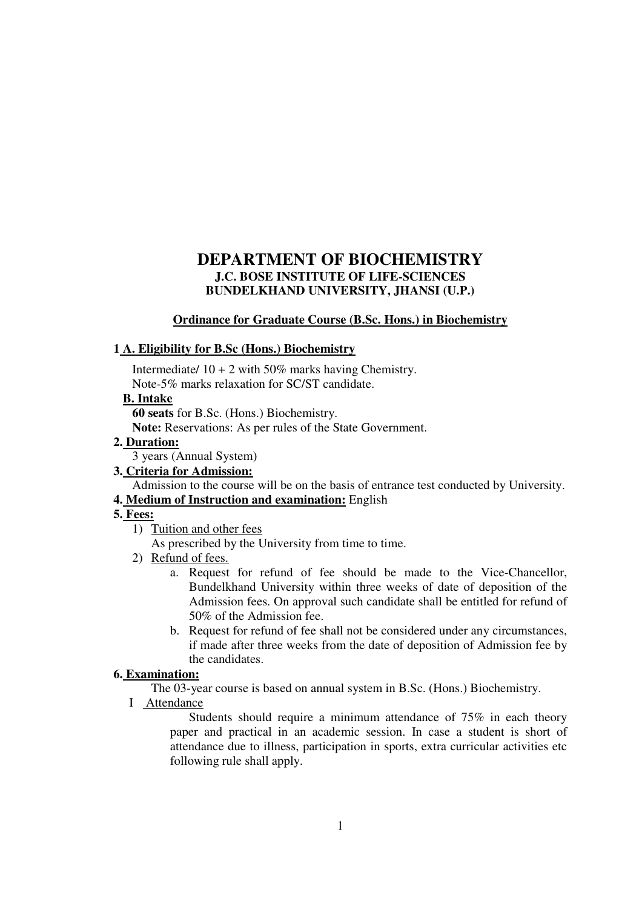# **DEPARTMENT OF BIOCHEMISTRY J.C. BOSE INSTITUTE OF LIFE-SCIENCES BUNDELKHAND UNIVERSITY, JHANSI (U.P.)**

## **Ordinance for Graduate Course (B.Sc. Hons.) in Biochemistry**

## **1 A. Eligibility for B.Sc (Hons.) Biochemistry**

Intermediate/  $10 + 2$  with 50% marks having Chemistry. Note-5% marks relaxation for SC/ST candidate.

## **B. Intake**

**60 seats** for B.Sc. (Hons.) Biochemistry.

**Note:** Reservations: As per rules of the State Government.

# **2. Duration:**

3 years (Annual System)

# **3. Criteria for Admission:**

Admission to the course will be on the basis of entrance test conducted by University.

# **4. Medium of Instruction and examination:** English

# **5. Fees:**

1) Tuition and other fees

As prescribed by the University from time to time.

- 2) Refund of fees.
	- a. Request for refund of fee should be made to the Vice-Chancellor, Bundelkhand University within three weeks of date of deposition of the Admission fees. On approval such candidate shall be entitled for refund of 50% of the Admission fee.
	- b. Request for refund of fee shall not be considered under any circumstances, if made after three weeks from the date of deposition of Admission fee by the candidates.

#### **6. Examination:**

The 03-year course is based on annual system in B.Sc. (Hons.) Biochemistry.

I Attendance

Students should require a minimum attendance of 75% in each theory paper and practical in an academic session. In case a student is short of attendance due to illness, participation in sports, extra curricular activities etc following rule shall apply.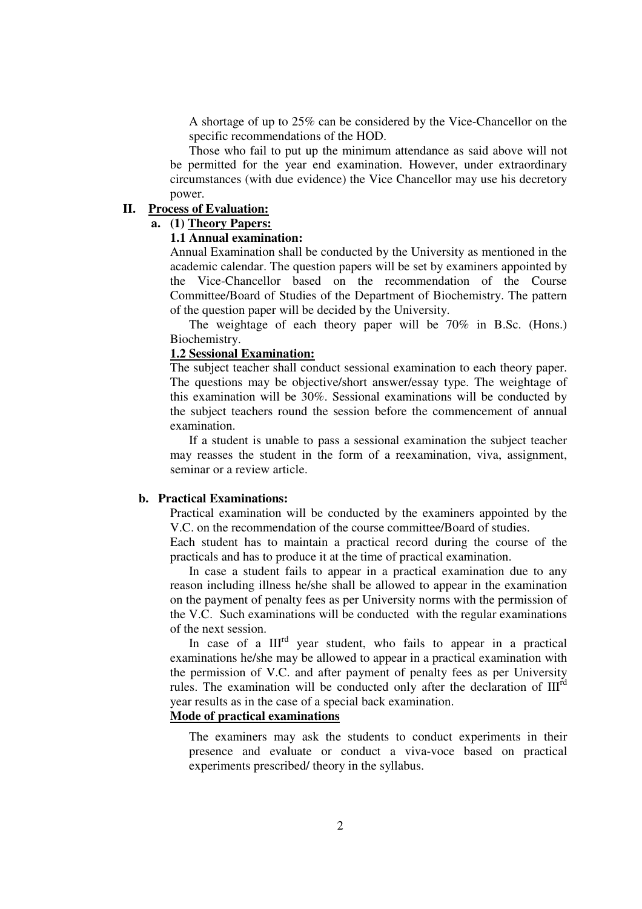A shortage of up to 25% can be considered by the Vice-Chancellor on the specific recommendations of the HOD.

Those who fail to put up the minimum attendance as said above will not be permitted for the year end examination. However, under extraordinary circumstances (with due evidence) the Vice Chancellor may use his decretory power.

## **II. Process of Evaluation:**

# **a. (1) Theory Papers:**

#### **1.1 Annual examination:**

Annual Examination shall be conducted by the University as mentioned in the academic calendar. The question papers will be set by examiners appointed by the Vice-Chancellor based on the recommendation of the Course Committee/Board of Studies of the Department of Biochemistry. The pattern of the question paper will be decided by the University.

 The weightage of each theory paper will be 70% in B.Sc. (Hons.) Biochemistry.

#### **1.2 Sessional Examination:**

The subject teacher shall conduct sessional examination to each theory paper. The questions may be objective/short answer/essay type. The weightage of this examination will be 30%. Sessional examinations will be conducted by the subject teachers round the session before the commencement of annual examination.

If a student is unable to pass a sessional examination the subject teacher may reasses the student in the form of a reexamination, viva, assignment, seminar or a review article.

#### **b. Practical Examinations:**

Practical examination will be conducted by the examiners appointed by the V.C. on the recommendation of the course committee/Board of studies.

Each student has to maintain a practical record during the course of the practicals and has to produce it at the time of practical examination.

In case a student fails to appear in a practical examination due to any reason including illness he/she shall be allowed to appear in the examination on the payment of penalty fees as per University norms with the permission of the V.C. Such examinations will be conducted with the regular examinations of the next session.

In case of a  $III<sup>rd</sup>$  year student, who fails to appear in a practical examinations he/she may be allowed to appear in a practical examination with the permission of V.C. and after payment of penalty fees as per University rules. The examination will be conducted only after the declaration of  $III<sup>rd</sup>$ year results as in the case of a special back examination.

#### **Mode of practical examinations**

The examiners may ask the students to conduct experiments in their presence and evaluate or conduct a viva-voce based on practical experiments prescribed/ theory in the syllabus.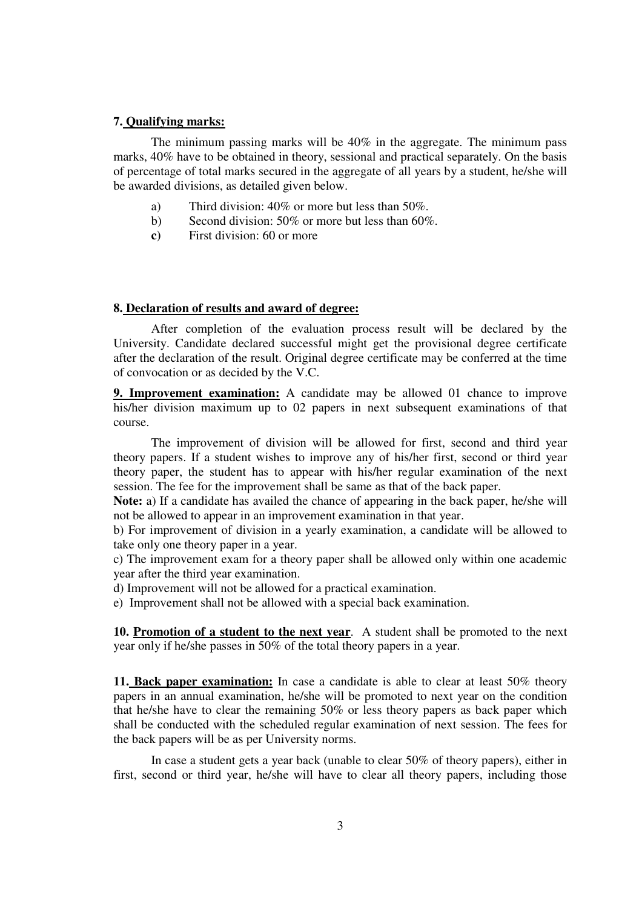#### **7. Qualifying marks:**

The minimum passing marks will be 40% in the aggregate. The minimum pass marks, 40% have to be obtained in theory, sessional and practical separately. On the basis of percentage of total marks secured in the aggregate of all years by a student, he/she will be awarded divisions, as detailed given below.

- a) Third division: 40% or more but less than 50%.
- b) Second division: 50% or more but less than 60%.
- **c)** First division: 60 or more

#### **8. Declaration of results and award of degree:**

After completion of the evaluation process result will be declared by the University. Candidate declared successful might get the provisional degree certificate after the declaration of the result. Original degree certificate may be conferred at the time of convocation or as decided by the V.C.

**9. Improvement examination:** A candidate may be allowed 01 chance to improve his/her division maximum up to 02 papers in next subsequent examinations of that course.

The improvement of division will be allowed for first, second and third year theory papers. If a student wishes to improve any of his/her first, second or third year theory paper, the student has to appear with his/her regular examination of the next session. The fee for the improvement shall be same as that of the back paper.

**Note:** a) If a candidate has availed the chance of appearing in the back paper, he/she will not be allowed to appear in an improvement examination in that year.

b) For improvement of division in a yearly examination, a candidate will be allowed to take only one theory paper in a year.

c) The improvement exam for a theory paper shall be allowed only within one academic year after the third year examination.

d) Improvement will not be allowed for a practical examination.

e) Improvement shall not be allowed with a special back examination.

**10. Promotion of a student to the next year**. A student shall be promoted to the next year only if he/she passes in 50% of the total theory papers in a year.

**11. Back paper examination:** In case a candidate is able to clear at least 50% theory papers in an annual examination, he/she will be promoted to next year on the condition that he/she have to clear the remaining 50% or less theory papers as back paper which shall be conducted with the scheduled regular examination of next session. The fees for the back papers will be as per University norms.

In case a student gets a year back (unable to clear 50% of theory papers), either in first, second or third year, he/she will have to clear all theory papers, including those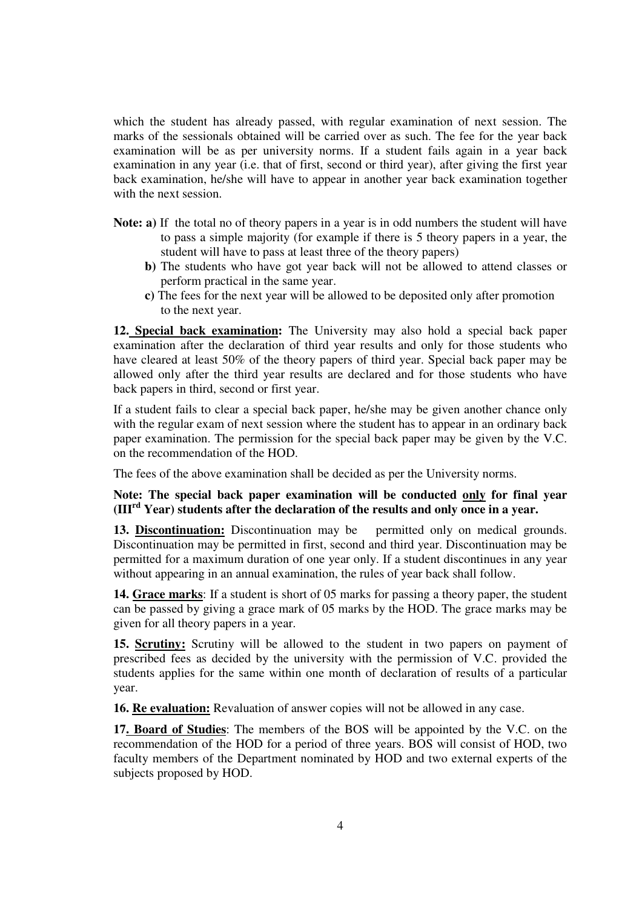which the student has already passed, with regular examination of next session. The marks of the sessionals obtained will be carried over as such. The fee for the year back examination will be as per university norms. If a student fails again in a year back examination in any year (i.e. that of first, second or third year), after giving the first year back examination, he/she will have to appear in another year back examination together with the next session.

- **Note: a)** If the total no of theory papers in a year is in odd numbers the student will have to pass a simple majority (for example if there is 5 theory papers in a year, the student will have to pass at least three of the theory papers)
	- **b)** The students who have got year back will not be allowed to attend classes or perform practical in the same year.
	- **c)** The fees for the next year will be allowed to be deposited only after promotion to the next year.

**12. Special back examination:** The University may also hold a special back paper examination after the declaration of third year results and only for those students who have cleared at least 50% of the theory papers of third year. Special back paper may be allowed only after the third year results are declared and for those students who have back papers in third, second or first year.

If a student fails to clear a special back paper, he/she may be given another chance only with the regular exam of next session where the student has to appear in an ordinary back paper examination. The permission for the special back paper may be given by the V.C. on the recommendation of the HOD.

The fees of the above examination shall be decided as per the University norms.

**Note: The special back paper examination will be conducted only for final year (IIIrd Year) students after the declaration of the results and only once in a year.**

**13. Discontinuation:** Discontinuation may be permitted only on medical grounds. Discontinuation may be permitted in first, second and third year. Discontinuation may be permitted for a maximum duration of one year only. If a student discontinues in any year without appearing in an annual examination, the rules of year back shall follow.

**14. Grace marks**: If a student is short of 05 marks for passing a theory paper, the student can be passed by giving a grace mark of 05 marks by the HOD. The grace marks may be given for all theory papers in a year.

**15. Scrutiny:** Scrutiny will be allowed to the student in two papers on payment of prescribed fees as decided by the university with the permission of V.C. provided the students applies for the same within one month of declaration of results of a particular year.

**16. Re evaluation:** Revaluation of answer copies will not be allowed in any case.

**17. Board of Studies**: The members of the BOS will be appointed by the V.C. on the recommendation of the HOD for a period of three years. BOS will consist of HOD, two faculty members of the Department nominated by HOD and two external experts of the subjects proposed by HOD.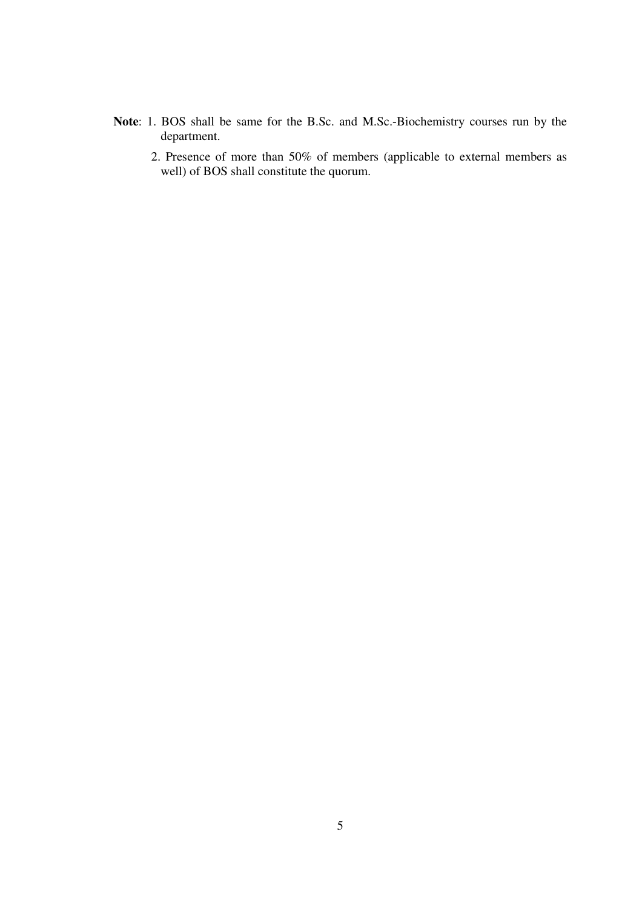- **Note**: 1. BOS shall be same for the B.Sc. and M.Sc.-Biochemistry courses run by the department.
	- 2. Presence of more than 50% of members (applicable to external members as well) of BOS shall constitute the quorum.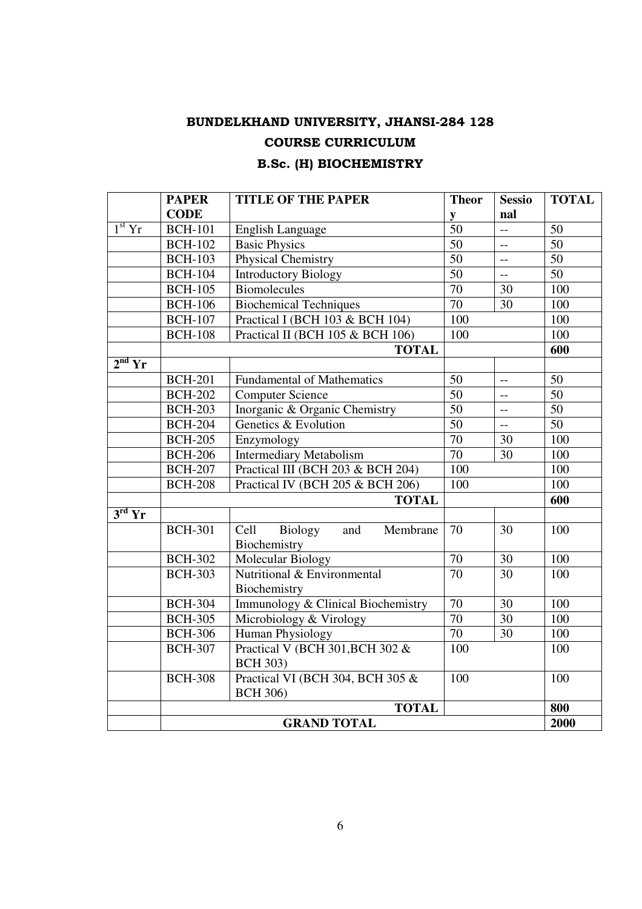# BUNDELKHAND UNIVERSITY, JHANSI-284 128 COURSE CURRICULUM

# B.Sc. (H) BIOCHEMISTRY

|                               | <b>PAPER</b>       | <b>TITLE OF THE PAPER</b>                           | <b>Theor</b>    | <b>Sessio</b>             | <b>TOTAL</b>    |
|-------------------------------|--------------------|-----------------------------------------------------|-----------------|---------------------------|-----------------|
|                               | <b>CODE</b>        |                                                     | ${\bf y}$       | nal                       |                 |
| $1st$ Yr                      | <b>BCH-101</b>     | <b>English Language</b>                             | $\overline{50}$ | $\overline{a}$            | 50              |
|                               | <b>BCH-102</b>     | <b>Basic Physics</b>                                | 50              | $\frac{1}{2}$             | $\overline{50}$ |
|                               | <b>BCH-103</b>     | Physical Chemistry                                  | $\overline{50}$ | $\overline{\phantom{a}}$  | $\overline{50}$ |
|                               | <b>BCH-104</b>     | <b>Introductory Biology</b>                         | $\overline{50}$ | $\mathbf{u}$              | $\overline{50}$ |
|                               | <b>BCH-105</b>     | <b>Biomolecules</b>                                 | $\overline{70}$ | 30                        | 100             |
|                               | <b>BCH-106</b>     | <b>Biochemical Techniques</b>                       | $\overline{70}$ | 30                        | 100             |
|                               | <b>BCH-107</b>     | Practical I (BCH 103 & BCH 104)                     | 100             |                           | 100             |
|                               | <b>BCH-108</b>     | Practical II (BCH 105 & BCH 106)                    | 100             |                           | 100             |
|                               |                    | <b>TOTAL</b>                                        |                 |                           | 600             |
| $2nd$ Yr                      |                    |                                                     |                 |                           |                 |
|                               | <b>BCH-201</b>     | <b>Fundamental of Mathematics</b>                   | 50              | $-$                       | 50              |
|                               | <b>BCH-202</b>     | <b>Computer Science</b>                             | $\overline{50}$ | $\overline{a}$            | $\overline{50}$ |
|                               | <b>BCH-203</b>     | Inorganic & Organic Chemistry                       | 50              | $\overline{\phantom{a}}$  | $\overline{50}$ |
|                               | <b>BCH-204</b>     | Genetics & Evolution                                | 50              | $\mathbb{L}^{\mathbb{L}}$ | 50              |
|                               | <b>BCH-205</b>     | Enzymology                                          | 70              | 30                        | 100             |
|                               | <b>BCH-206</b>     | <b>Intermediary Metabolism</b>                      | 70              | 30                        | 100             |
|                               | <b>BCH-207</b>     | Practical III (BCH 203 & BCH 204)                   | 100             |                           | 100             |
|                               | <b>BCH-208</b>     | Practical IV (BCH 205 & BCH 206)                    | 100             |                           | 100             |
|                               |                    | <b>TOTAL</b>                                        |                 |                           | 600             |
| $3^{\overline{\text{rd}}}$ Yr |                    |                                                     |                 |                           |                 |
|                               | <b>BCH-301</b>     | Cell<br>Membrane<br>Biology<br>and<br>Biochemistry  | 70              | 30                        | 100             |
|                               | <b>BCH-302</b>     | <b>Molecular Biology</b>                            | $\overline{70}$ | $\overline{30}$           | 100             |
|                               | <b>BCH-303</b>     | Nutritional & Environmental<br>Biochemistry         | $\overline{70}$ | 30                        | 100             |
|                               | <b>BCH-304</b>     | Immunology & Clinical Biochemistry                  | 70              | 30                        | 100             |
|                               | <b>BCH-305</b>     | Microbiology & Virology                             | $\overline{70}$ | 30                        | 100             |
|                               | <b>BCH-306</b>     | Human Physiology                                    | $\overline{70}$ | 30                        | 100             |
|                               | <b>BCH-307</b>     | Practical V (BCH 301, BCH 302 &<br><b>BCH 303)</b>  | 100             |                           | 100             |
|                               | <b>BCH-308</b>     | Practical VI (BCH 304, BCH 305 &<br><b>BCH 306)</b> | 100             |                           | 100             |
|                               | <b>TOTAL</b>       |                                                     |                 |                           |                 |
|                               | <b>GRAND TOTAL</b> |                                                     |                 |                           |                 |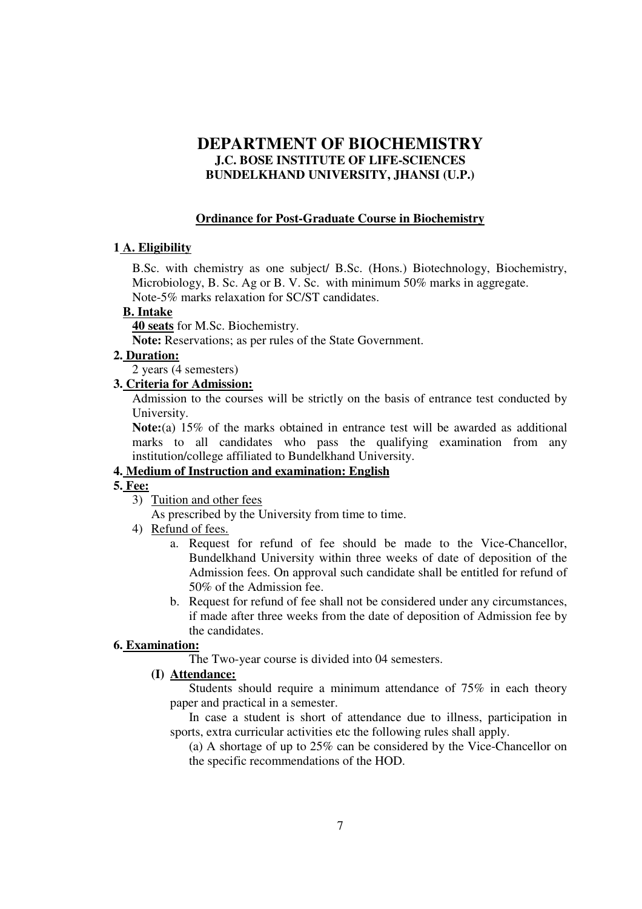# **DEPARTMENT OF BIOCHEMISTRY J.C. BOSE INSTITUTE OF LIFE-SCIENCES BUNDELKHAND UNIVERSITY, JHANSI (U.P.)**

## **Ordinance for Post-Graduate Course in Biochemistry**

#### **1 A. Eligibility**

B.Sc. with chemistry as one subject/ B.Sc. (Hons.) Biotechnology, Biochemistry, Microbiology, B. Sc. Ag or B. V. Sc. with minimum 50% marks in aggregate. Note-5% marks relaxation for SC/ST candidates.

#### **B. Intake**

**40 seats** for M.Sc. Biochemistry.

**Note:** Reservations; as per rules of the State Government.

## **2. Duration:**

2 years (4 semesters)

# **3. Criteria for Admission:**

Admission to the courses will be strictly on the basis of entrance test conducted by University.

**Note:**(a) 15% of the marks obtained in entrance test will be awarded as additional marks to all candidates who pass the qualifying examination from any institution/college affiliated to Bundelkhand University.

## **4. Medium of Instruction and examination: English**

# **5. Fee:**

3) Tuition and other fees

As prescribed by the University from time to time.

- 4) Refund of fees.
	- a. Request for refund of fee should be made to the Vice-Chancellor, Bundelkhand University within three weeks of date of deposition of the Admission fees. On approval such candidate shall be entitled for refund of 50% of the Admission fee.
	- b. Request for refund of fee shall not be considered under any circumstances, if made after three weeks from the date of deposition of Admission fee by the candidates.

# **6. Examination:**

The Two-year course is divided into 04 semesters.

# **(I) Attendance:**

Students should require a minimum attendance of 75% in each theory paper and practical in a semester.

In case a student is short of attendance due to illness, participation in sports, extra curricular activities etc the following rules shall apply.

(a) A shortage of up to 25% can be considered by the Vice-Chancellor on the specific recommendations of the HOD.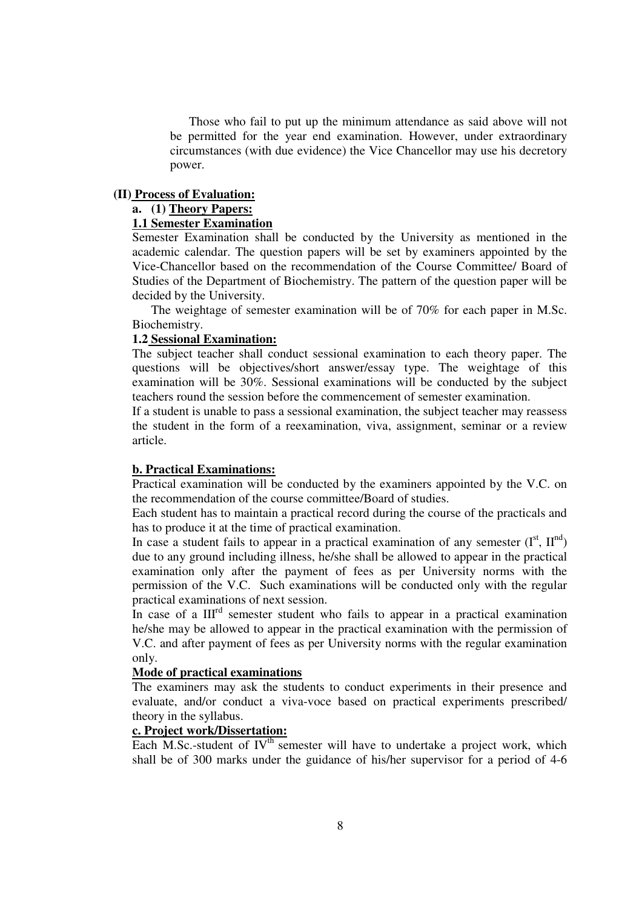Those who fail to put up the minimum attendance as said above will not be permitted for the year end examination. However, under extraordinary circumstances (with due evidence) the Vice Chancellor may use his decretory power.

#### **(II) Process of Evaluation:**

# **a. (1) Theory Papers:**

# **1.1 Semester Examination**

Semester Examination shall be conducted by the University as mentioned in the academic calendar. The question papers will be set by examiners appointed by the Vice-Chancellor based on the recommendation of the Course Committee/ Board of Studies of the Department of Biochemistry. The pattern of the question paper will be decided by the University.

 The weightage of semester examination will be of 70% for each paper in M.Sc. Biochemistry.

#### **1.2 Sessional Examination:**

The subject teacher shall conduct sessional examination to each theory paper. The questions will be objectives/short answer/essay type. The weightage of this examination will be 30%. Sessional examinations will be conducted by the subject teachers round the session before the commencement of semester examination.

If a student is unable to pass a sessional examination, the subject teacher may reassess the student in the form of a reexamination, viva, assignment, seminar or a review article.

#### **b. Practical Examinations:**

Practical examination will be conducted by the examiners appointed by the V.C. on the recommendation of the course committee/Board of studies.

Each student has to maintain a practical record during the course of the practicals and has to produce it at the time of practical examination.

In case a student fails to appear in a practical examination of any semester  $(I^{st}, II^{nd})$ due to any ground including illness, he/she shall be allowed to appear in the practical examination only after the payment of fees as per University norms with the permission of the V.C. Such examinations will be conducted only with the regular practical examinations of next session.

In case of a III<sup>rd</sup> semester student who fails to appear in a practical examination he/she may be allowed to appear in the practical examination with the permission of V.C. and after payment of fees as per University norms with the regular examination only.

#### **Mode of practical examinations**

The examiners may ask the students to conduct experiments in their presence and evaluate, and/or conduct a viva-voce based on practical experiments prescribed/ theory in the syllabus.

#### **c. Project work/Dissertation:**

Each M.Sc.-student of  $IV<sup>th</sup>$  semester will have to undertake a project work, which shall be of 300 marks under the guidance of his/her supervisor for a period of 4-6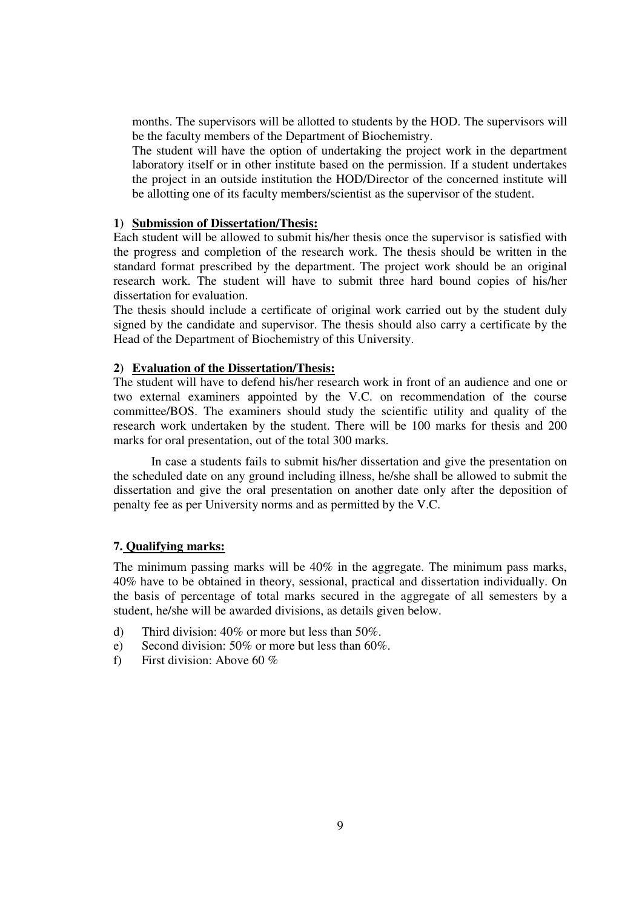months. The supervisors will be allotted to students by the HOD. The supervisors will be the faculty members of the Department of Biochemistry.

 The student will have the option of undertaking the project work in the department laboratory itself or in other institute based on the permission. If a student undertakes the project in an outside institution the HOD/Director of the concerned institute will be allotting one of its faculty members/scientist as the supervisor of the student.

#### **1) Submission of Dissertation/Thesis:**

Each student will be allowed to submit his/her thesis once the supervisor is satisfied with the progress and completion of the research work. The thesis should be written in the standard format prescribed by the department. The project work should be an original research work. The student will have to submit three hard bound copies of his/her dissertation for evaluation.

The thesis should include a certificate of original work carried out by the student duly signed by the candidate and supervisor. The thesis should also carry a certificate by the Head of the Department of Biochemistry of this University.

#### **2) Evaluation of the Dissertation/Thesis:**

The student will have to defend his/her research work in front of an audience and one or two external examiners appointed by the V.C. on recommendation of the course committee/BOS. The examiners should study the scientific utility and quality of the research work undertaken by the student. There will be 100 marks for thesis and 200 marks for oral presentation, out of the total 300 marks.

 In case a students fails to submit his/her dissertation and give the presentation on the scheduled date on any ground including illness, he/she shall be allowed to submit the dissertation and give the oral presentation on another date only after the deposition of penalty fee as per University norms and as permitted by the V.C.

### **7. Qualifying marks:**

The minimum passing marks will be 40% in the aggregate. The minimum pass marks, 40% have to be obtained in theory, sessional, practical and dissertation individually. On the basis of percentage of total marks secured in the aggregate of all semesters by a student, he/she will be awarded divisions, as details given below.

- d) Third division: 40% or more but less than 50%.
- e) Second division: 50% or more but less than 60%.
- f) First division: Above 60 %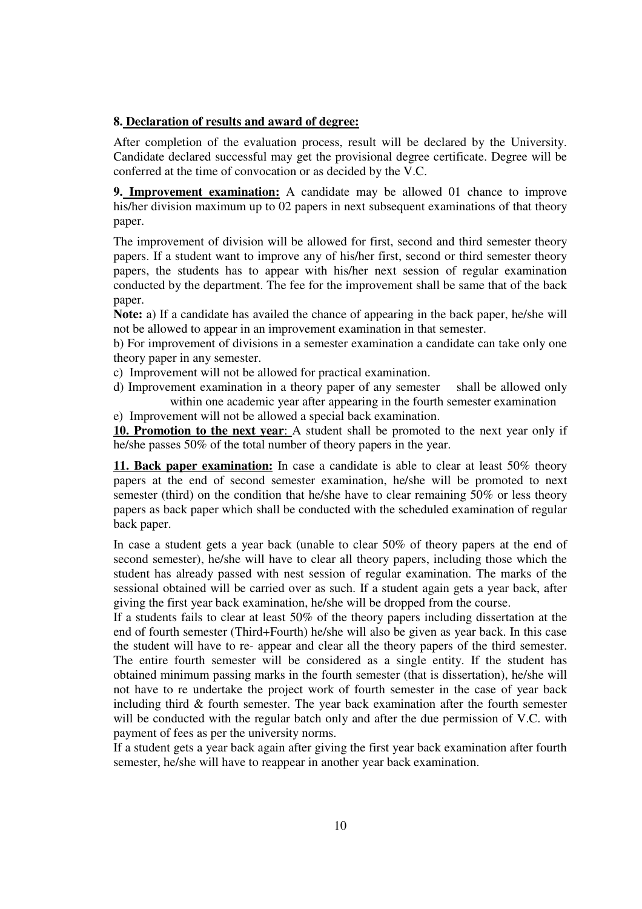## **8. Declaration of results and award of degree:**

After completion of the evaluation process, result will be declared by the University. Candidate declared successful may get the provisional degree certificate. Degree will be conferred at the time of convocation or as decided by the V.C.

**9. Improvement examination:** A candidate may be allowed 01 chance to improve his/her division maximum up to 02 papers in next subsequent examinations of that theory paper.

The improvement of division will be allowed for first, second and third semester theory papers. If a student want to improve any of his/her first, second or third semester theory papers, the students has to appear with his/her next session of regular examination conducted by the department. The fee for the improvement shall be same that of the back paper.

**Note:** a) If a candidate has availed the chance of appearing in the back paper, he/she will not be allowed to appear in an improvement examination in that semester.

b) For improvement of divisions in a semester examination a candidate can take only one theory paper in any semester.

c) Improvement will not be allowed for practical examination.

d) Improvement examination in a theory paper of any semester shall be allowed only within one academic year after appearing in the fourth semester examination

e) Improvement will not be allowed a special back examination.

**10. Promotion to the next year**: A student shall be promoted to the next year only if he/she passes 50% of the total number of theory papers in the year.

**11. Back paper examination:** In case a candidate is able to clear at least 50% theory papers at the end of second semester examination, he/she will be promoted to next semester (third) on the condition that he/she have to clear remaining 50% or less theory papers as back paper which shall be conducted with the scheduled examination of regular back paper.

In case a student gets a year back (unable to clear 50% of theory papers at the end of second semester), he/she will have to clear all theory papers, including those which the student has already passed with nest session of regular examination. The marks of the sessional obtained will be carried over as such. If a student again gets a year back, after giving the first year back examination, he/she will be dropped from the course.

If a students fails to clear at least 50% of the theory papers including dissertation at the end of fourth semester (Third+Fourth) he/she will also be given as year back. In this case the student will have to re- appear and clear all the theory papers of the third semester. The entire fourth semester will be considered as a single entity. If the student has obtained minimum passing marks in the fourth semester (that is dissertation), he/she will not have to re undertake the project work of fourth semester in the case of year back including third  $&$  fourth semester. The year back examination after the fourth semester will be conducted with the regular batch only and after the due permission of V.C. with payment of fees as per the university norms.

If a student gets a year back again after giving the first year back examination after fourth semester, he/she will have to reappear in another year back examination.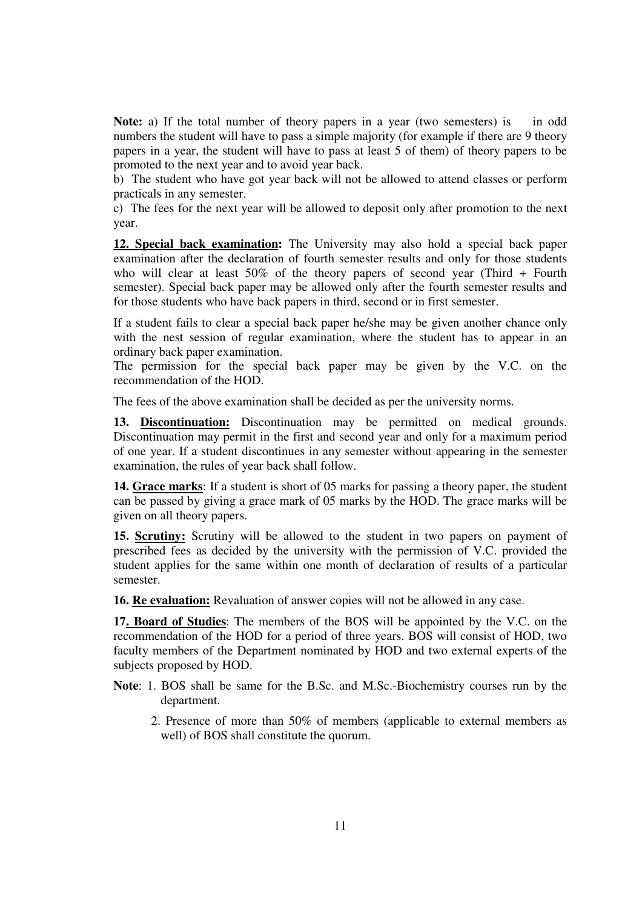**Note:** a) If the total number of theory papers in a year (two semesters) is in odd numbers the student will have to pass a simple majority (for example if there are 9 theory papers in a year, the student will have to pass at least 5 of them) of theory papers to be promoted to the next year and to avoid year back.

b) The student who have got year back will not be allowed to attend classes or perform practicals in any semester.

c) The fees for the next year will be allowed to deposit only after promotion to the next year.

**12. Special back examination:** The University may also hold a special back paper examination after the declaration of fourth semester results and only for those students who will clear at least 50% of the theory papers of second year (Third + Fourth semester). Special back paper may be allowed only after the fourth semester results and for those students who have back papers in third, second or in first semester.

If a student fails to clear a special back paper he/she may be given another chance only with the nest session of regular examination, where the student has to appear in an ordinary back paper examination.

The permission for the special back paper may be given by the V.C. on the recommendation of the HOD.

The fees of the above examination shall be decided as per the university norms.

**13. Discontinuation:** Discontinuation may be permitted on medical grounds. Discontinuation may permit in the first and second year and only for a maximum period of one year. If a student discontinues in any semester without appearing in the semester examination, the rules of year back shall follow.

**14. Grace marks**: If a student is short of 05 marks for passing a theory paper, the student can be passed by giving a grace mark of 05 marks by the HOD. The grace marks will be given on all theory papers.

**15. Scrutiny:** Scrutiny will be allowed to the student in two papers on payment of prescribed fees as decided by the university with the permission of V.C. provided the student applies for the same within one month of declaration of results of a particular semester.

**16. Re evaluation:** Revaluation of answer copies will not be allowed in any case.

**17. Board of Studies**: The members of the BOS will be appointed by the V.C. on the recommendation of the HOD for a period of three years. BOS will consist of HOD, two faculty members of the Department nominated by HOD and two external experts of the subjects proposed by HOD.

**Note**: 1. BOS shall be same for the B.Sc. and M.Sc.-Biochemistry courses run by the department.

2. Presence of more than 50% of members (applicable to external members as well) of BOS shall constitute the quorum.